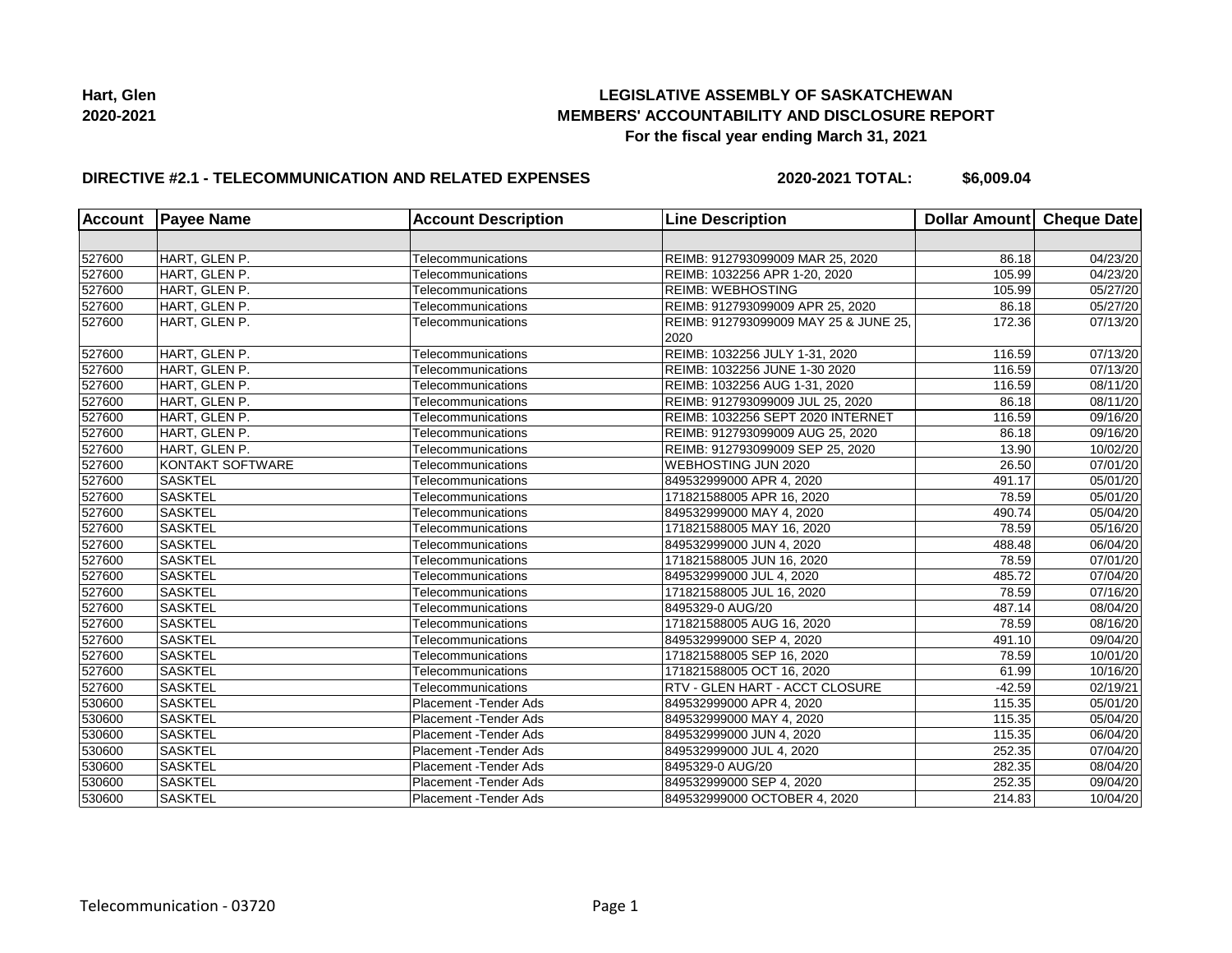

## **DIRECTIVE #2.1 - TELECOMMUNICATION AND RELATED EXPENSES**

**2020-2021 TOTAL: \$6,009.04**

| Account | <b>Payee Name</b> | <b>Account Description</b> | <b>Line Description</b>                       | Dollar Amount Cheque Date |                       |
|---------|-------------------|----------------------------|-----------------------------------------------|---------------------------|-----------------------|
|         |                   |                            |                                               |                           |                       |
| 527600  | HART, GLEN P.     | Telecommunications         | REIMB: 912793099009 MAR 25, 2020              | 86.18                     | 04/23/20              |
| 527600  | HART, GLEN P.     | Telecommunications         | REIMB: 1032256 APR 1-20, 2020                 | 105.99                    | 04/23/20              |
| 527600  | HART, GLEN P.     | Telecommunications         | <b>REIMB: WEBHOSTING</b>                      | 105.99                    | $\overline{05}/27/20$ |
| 527600  | HART, GLEN P.     | Telecommunications         | REIMB: 912793099009 APR 25, 2020              | 86.18                     | 05/27/20              |
| 527600  | HART, GLEN P.     | Telecommunications         | REIMB: 912793099009 MAY 25 & JUNE 25,<br>2020 | 172.36                    | $\overline{07/13/20}$ |
| 527600  | HART, GLEN P.     | Telecommunications         | REIMB: 1032256 JULY 1-31, 2020                | 116.59                    | 07/13/20              |
| 527600  | HART, GLEN P.     | Telecommunications         | REIMB: 1032256 JUNE 1-30 2020                 | 116.59                    | $\overline{07}/13/20$ |
| 527600  | HART, GLEN P.     | Telecommunications         | REIMB: 1032256 AUG 1-31, 2020                 | 116.59                    | 08/11/20              |
| 527600  | HART, GLEN P.     | Telecommunications         | REIMB: 912793099009 JUL 25, 2020              | 86.18                     | 08/11/20              |
| 527600  | HART, GLEN P.     | Telecommunications         | REIMB: 1032256 SEPT 2020 INTERNET             | 116.59                    | 09/16/20              |
| 527600  | HART, GLEN P.     | Telecommunications         | REIMB: 912793099009 AUG 25, 2020              | 86.18                     | 09/16/20              |
| 527600  | HART, GLEN P.     | Telecommunications         | REIMB: 912793099009 SEP 25, 2020              | 13.90                     | 10/02/20              |
| 527600  | KONTAKT SOFTWARE  | Telecommunications         | WEBHOSTING JUN 2020                           | 26.50                     | 07/01/20              |
| 527600  | <b>SASKTEL</b>    | Telecommunications         | 849532999000 APR 4, 2020                      | 491.17                    | 05/01/20              |
| 527600  | <b>SASKTEL</b>    | Telecommunications         | 171821588005 APR 16, 2020                     | 78.59                     | 05/01/20              |
| 527600  | <b>SASKTEL</b>    | Telecommunications         | 849532999000 MAY 4, 2020                      | 490.74                    | 05/04/20              |
| 527600  | <b>SASKTEL</b>    | Telecommunications         | 171821588005 MAY 16, 2020                     | 78.59                     | 05/16/20              |
| 527600  | <b>SASKTEL</b>    | Telecommunications         | 849532999000 JUN 4, 2020                      | 488.48                    | 06/04/20              |
| 527600  | <b>SASKTEL</b>    | Telecommunications         | 171821588005 JUN 16, 2020                     | 78.59                     | 07/01/20              |
| 527600  | <b>SASKTEL</b>    | Telecommunications         | 849532999000 JUL 4, 2020                      | 485.72                    | 07/04/20              |
| 527600  | <b>SASKTEL</b>    | Telecommunications         | 171821588005 JUL 16, 2020                     | 78.59                     | 07/16/20              |
| 527600  | <b>SASKTEL</b>    | Telecommunications         | 8495329-0 AUG/20                              | 487.14                    | 08/04/20              |
| 527600  | <b>SASKTEL</b>    | Telecommunications         | 171821588005 AUG 16, 2020                     | 78.59                     | 08/16/20              |
| 527600  | <b>SASKTEL</b>    | Telecommunications         | 849532999000 SEP 4, 2020                      | 491.10                    | 09/04/20              |
| 527600  | <b>SASKTEL</b>    | Telecommunications         | 171821588005 SEP 16, 2020                     | 78.59                     | 10/01/20              |
| 527600  | <b>SASKTEL</b>    | Telecommunications         | 171821588005 OCT 16, 2020                     | 61.99                     | 10/16/20              |
| 527600  | <b>SASKTEL</b>    | Telecommunications         | RTV - GLEN HART - ACCT CLOSURE                | $-42.59$                  | 02/19/21              |
| 530600  | <b>SASKTEL</b>    | Placement - Tender Ads     | 849532999000 APR 4, 2020                      | 115.35                    | 05/01/20              |
| 530600  | <b>SASKTEL</b>    | Placement - Tender Ads     | 849532999000 MAY 4, 2020                      | 115.35                    | 05/04/20              |
| 530600  | <b>SASKTEL</b>    | Placement - Tender Ads     | 849532999000 JUN 4, 2020                      | 115.35                    | 06/04/20              |
| 530600  | <b>SASKTEL</b>    | Placement - Tender Ads     | 849532999000 JUL 4, 2020                      | 252.35                    | 07/04/20              |
| 530600  | <b>SASKTEL</b>    | Placement - Tender Ads     | 8495329-0 AUG/20                              | 282.35                    | 08/04/20              |
| 530600  | <b>SASKTEL</b>    | Placement - Tender Ads     | 849532999000 SEP 4, 2020                      | 252.35                    | 09/04/20              |
| 530600  | <b>SASKTEL</b>    | Placement - Tender Ads     | 849532999000 OCTOBER 4, 2020                  | 214.83                    | 10/04/20              |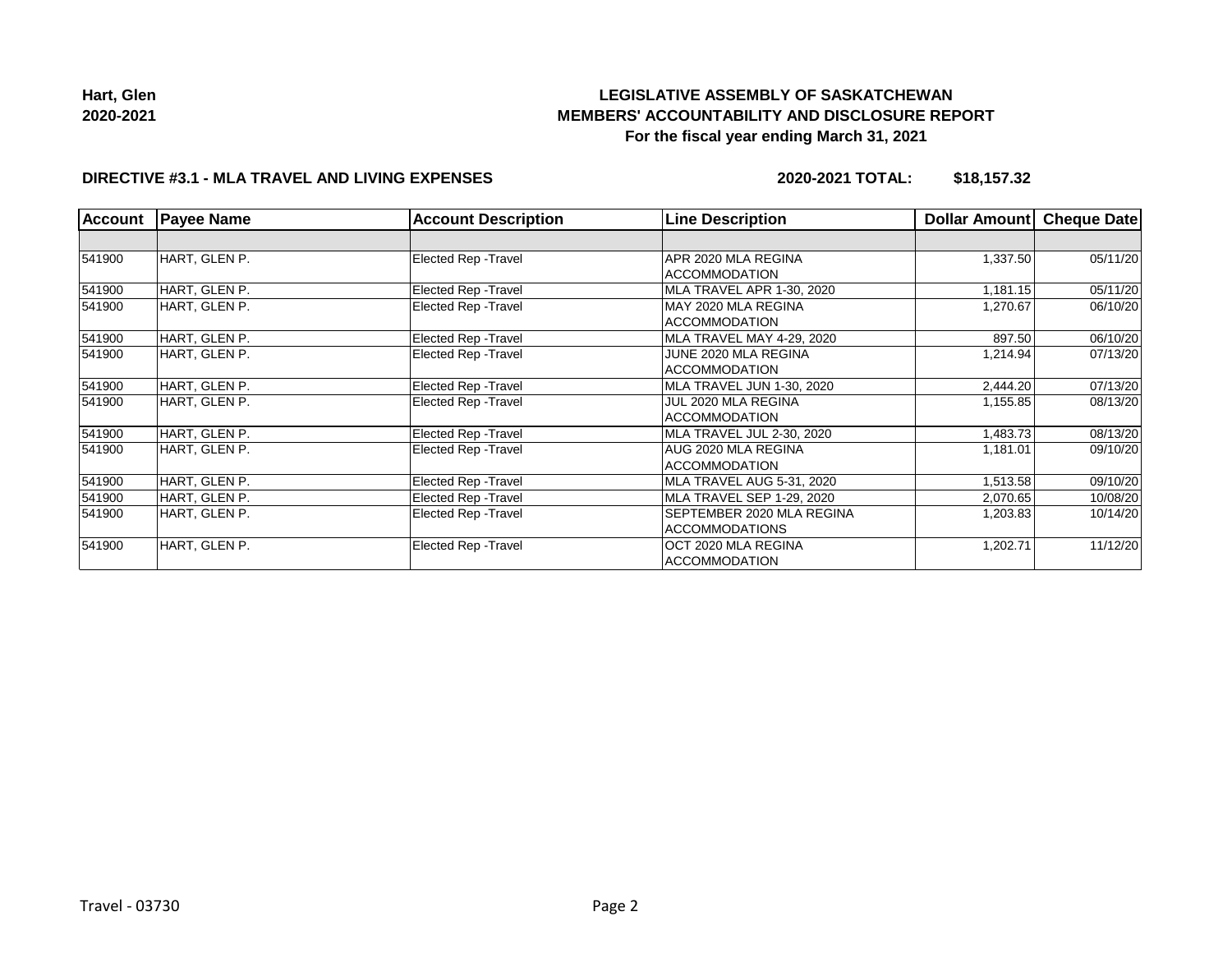

**Hart, Glen 2020-2021**

# **LEGISLATIVE ASSEMBLY OF SASKATCHEWAN MEMBERS' ACCOUNTABILITY AND DISCLOSURE REPORT For the fiscal year ending March 31, 2021**

# **DIRECTIVE #3.1 - MLA TRAVEL AND LIVING EXPENSES**

**2020-2021 TOTAL: \$18,157.32**

| <b>Account</b> | <b>Payee Name</b> | <b>Account Description</b>  | <b>Line Description</b>   | <b>Dollar Amount</b> | <b>Cheque Date</b> |
|----------------|-------------------|-----------------------------|---------------------------|----------------------|--------------------|
|                |                   |                             |                           |                      |                    |
| 541900         | HART, GLEN P.     | <b>Elected Rep - Travel</b> | APR 2020 MLA REGINA       | 1,337.50             | 05/11/20           |
|                |                   |                             | <b>ACCOMMODATION</b>      |                      |                    |
| 541900         | HART, GLEN P.     | Elected Rep - Travel        | MLA TRAVEL APR 1-30, 2020 | 1,181.15             | 05/11/20           |
| 541900         | HART, GLEN P.     | Elected Rep - Travel        | MAY 2020 MLA REGINA       | 1,270.67             | 06/10/20           |
|                |                   |                             | <b>ACCOMMODATION</b>      |                      |                    |
| 541900         | HART, GLEN P.     | Elected Rep - Travel        | MLA TRAVEL MAY 4-29, 2020 | 897.50               | 06/10/20           |
| 541900         | HART, GLEN P.     | Elected Rep - Travel        | JUNE 2020 MLA REGINA      | 1,214.94             | 07/13/20           |
|                |                   |                             | <b>ACCOMMODATION</b>      |                      |                    |
| 541900         | HART, GLEN P.     | Elected Rep - Travel        | MLA TRAVEL JUN 1-30, 2020 | 2,444.20             | 07/13/20           |
| 541900         | HART, GLEN P.     | Elected Rep - Travel        | JUL 2020 MLA REGINA       | 1,155.85             | 08/13/20           |
|                |                   |                             | <b>ACCOMMODATION</b>      |                      |                    |
| 541900         | HART, GLEN P.     | Elected Rep - Travel        | MLA TRAVEL JUL 2-30, 2020 | 1,483.73             | 08/13/20           |
| 541900         | HART, GLEN P.     | Elected Rep - Travel        | AUG 2020 MLA REGINA       | 1,181.01             | 09/10/20           |
|                |                   |                             | <b>ACCOMMODATION</b>      |                      |                    |
| 541900         | HART, GLEN P.     | <b>Elected Rep - Travel</b> | MLA TRAVEL AUG 5-31, 2020 | 1,513.58             | 09/10/20           |
| 541900         | HART, GLEN P.     | Elected Rep - Travel        | MLA TRAVEL SEP 1-29, 2020 | 2,070.65             | 10/08/20           |
| 541900         | HART, GLEN P.     | Elected Rep - Travel        | SEPTEMBER 2020 MLA REGINA | 1,203.83             | 10/14/20           |
|                |                   |                             | <b>ACCOMMODATIONS</b>     |                      |                    |
| 541900         | HART, GLEN P.     | Elected Rep - Travel        | OCT 2020 MLA REGINA       | 1,202.71             | 11/12/20           |
|                |                   |                             | <b>ACCOMMODATION</b>      |                      |                    |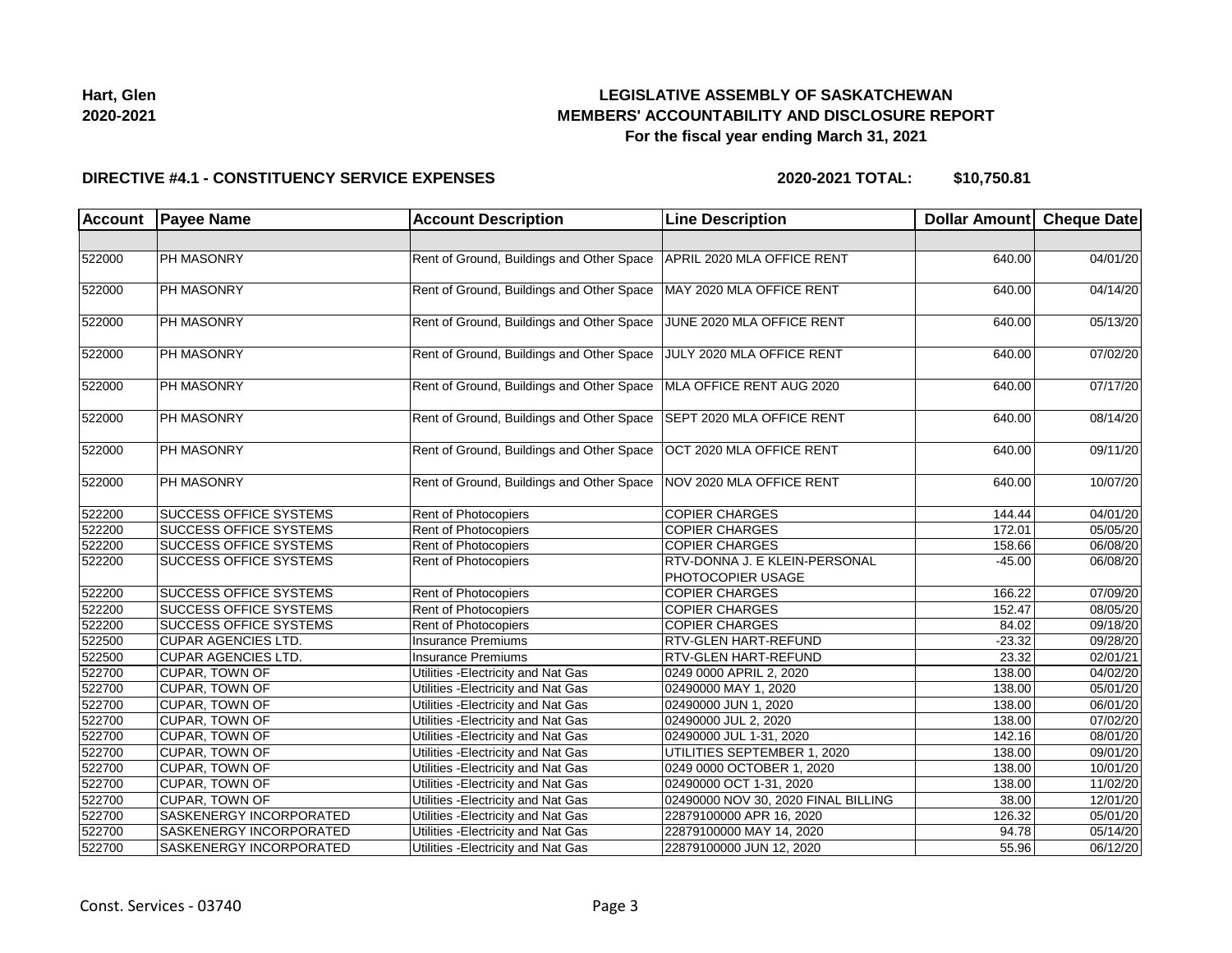| Hart, Glen |  |
|------------|--|
| 2020-2021  |  |

#### **DIRECTIVE #4.1 - CONSTITUENCY SERVICE EXPENSES**

**2020-2021 TOTAL: \$10,750.81**

| <b>Account</b> | <b>Payee Name</b>              | <b>Account Description</b>                | <b>Line Description</b>                            | Dollar Amount Cheque Date |          |
|----------------|--------------------------------|-------------------------------------------|----------------------------------------------------|---------------------------|----------|
|                |                                |                                           |                                                    |                           |          |
| 522000         | <b>PH MASONRY</b>              | Rent of Ground, Buildings and Other Space | APRIL 2020 MLA OFFICE RENT                         | 640.00                    | 04/01/20 |
| 522000         | <b>PH MASONRY</b>              | Rent of Ground, Buildings and Other Space | MAY 2020 MLA OFFICE RENT                           | 640.00                    | 04/14/20 |
| 522000         | PH MASONRY                     | Rent of Ground, Buildings and Other Space | JUNE 2020 MLA OFFICE RENT                          | 640.00                    | 05/13/20 |
| 522000         | PH MASONRY                     | Rent of Ground, Buildings and Other Space | JULY 2020 MLA OFFICE RENT                          | 640.00                    | 07/02/20 |
| 522000         | <b>PH MASONRY</b>              | Rent of Ground, Buildings and Other Space | MLA OFFICE RENT AUG 2020                           | 640.00                    | 07/17/20 |
| 522000         | PH MASONRY                     | Rent of Ground, Buildings and Other Space | SEPT 2020 MLA OFFICE RENT                          | 640.00                    | 08/14/20 |
| 522000         | PH MASONRY                     | Rent of Ground, Buildings and Other Space | OCT 2020 MLA OFFICE RENT                           | 640.00                    | 09/11/20 |
| 522000         | PH MASONRY                     | Rent of Ground, Buildings and Other Space | NOV 2020 MLA OFFICE RENT                           | 640.00                    | 10/07/20 |
| 522200         | <b>SUCCESS OFFICE SYSTEMS</b>  | Rent of Photocopiers                      | <b>COPIER CHARGES</b>                              | 144.44                    | 04/01/20 |
| 522200         | <b>SUCCESS OFFICE SYSTEMS</b>  | Rent of Photocopiers                      | <b>COPIER CHARGES</b>                              | 172.01                    | 05/05/20 |
| 522200         | <b>SUCCESS OFFICE SYSTEMS</b>  | Rent of Photocopiers                      | <b>COPIER CHARGES</b>                              | 158.66                    | 06/08/20 |
| 522200         | SUCCESS OFFICE SYSTEMS         | Rent of Photocopiers                      | RTV-DONNA J. E KLEIN-PERSONAL<br>PHOTOCOPIER USAGE | $-45.00$                  | 06/08/20 |
| 522200         | <b>SUCCESS OFFICE SYSTEMS</b>  | Rent of Photocopiers                      | <b>COPIER CHARGES</b>                              | 166.22                    | 07/09/20 |
| 522200         | <b>SUCCESS OFFICE SYSTEMS</b>  | Rent of Photocopiers                      | <b>COPIER CHARGES</b>                              | 152.47                    | 08/05/20 |
| 522200         | <b>SUCCESS OFFICE SYSTEMS</b>  | Rent of Photocopiers                      | <b>COPIER CHARGES</b>                              | 84.02                     | 09/18/20 |
| 522500         | <b>CUPAR AGENCIES LTD.</b>     | <b>Insurance Premiums</b>                 | RTV-GLEN HART-REFUND                               | $-23.32$                  | 09/28/20 |
| 522500         | CUPAR AGENCIES LTD.            | Insurance Premiums                        | RTV-GLEN HART-REFUND                               | 23.32                     | 02/01/21 |
| 522700         | CUPAR, TOWN OF                 | Utilities - Electricity and Nat Gas       | 0249 0000 APRIL 2, 2020                            | 138.00                    | 04/02/20 |
| 522700         | <b>CUPAR, TOWN OF</b>          | Utilities - Electricity and Nat Gas       | 02490000 MAY 1, 2020                               | 138.00                    | 05/01/20 |
| 522700         | CUPAR, TOWN OF                 | Utilities - Electricity and Nat Gas       | 02490000 JUN 1, 2020                               | 138.00                    | 06/01/20 |
| 522700         | CUPAR, TOWN OF                 | Utilities - Electricity and Nat Gas       | 02490000 JUL 2, 2020                               | 138.00                    | 07/02/20 |
| 522700         | CUPAR, TOWN OF                 | Utilities - Electricity and Nat Gas       | 02490000 JUL 1-31, 2020                            | 142.16                    | 08/01/20 |
| 522700         | CUPAR, TOWN OF                 | Utilities - Electricity and Nat Gas       | UTILITIES SEPTEMBER 1, 2020                        | 138.00                    | 09/01/20 |
| 522700         | CUPAR, TOWN OF                 | Utilities - Electricity and Nat Gas       | 0249 0000 OCTOBER 1, 2020                          | 138.00                    | 10/01/20 |
| 522700         | <b>CUPAR, TOWN OF</b>          | Utilities - Electricity and Nat Gas       | 02490000 OCT 1-31, 2020                            | 138.00                    | 11/02/20 |
| 522700         | CUPAR, TOWN OF                 | Utilities - Electricity and Nat Gas       | 02490000 NOV 30, 2020 FINAL BILLING                | 38.00                     | 12/01/20 |
| 522700         | <b>SASKENERGY INCORPORATED</b> | Utilities - Electricity and Nat Gas       | 22879100000 APR 16, 2020                           | 126.32                    | 05/01/20 |
| 522700         | SASKENERGY INCORPORATED        | Utilities - Electricity and Nat Gas       | 22879100000 MAY 14, 2020                           | 94.78                     | 05/14/20 |
| 522700         | SASKENERGY INCORPORATED        | Utilities - Electricity and Nat Gas       | 22879100000 JUN 12, 2020                           | 55.96                     | 06/12/20 |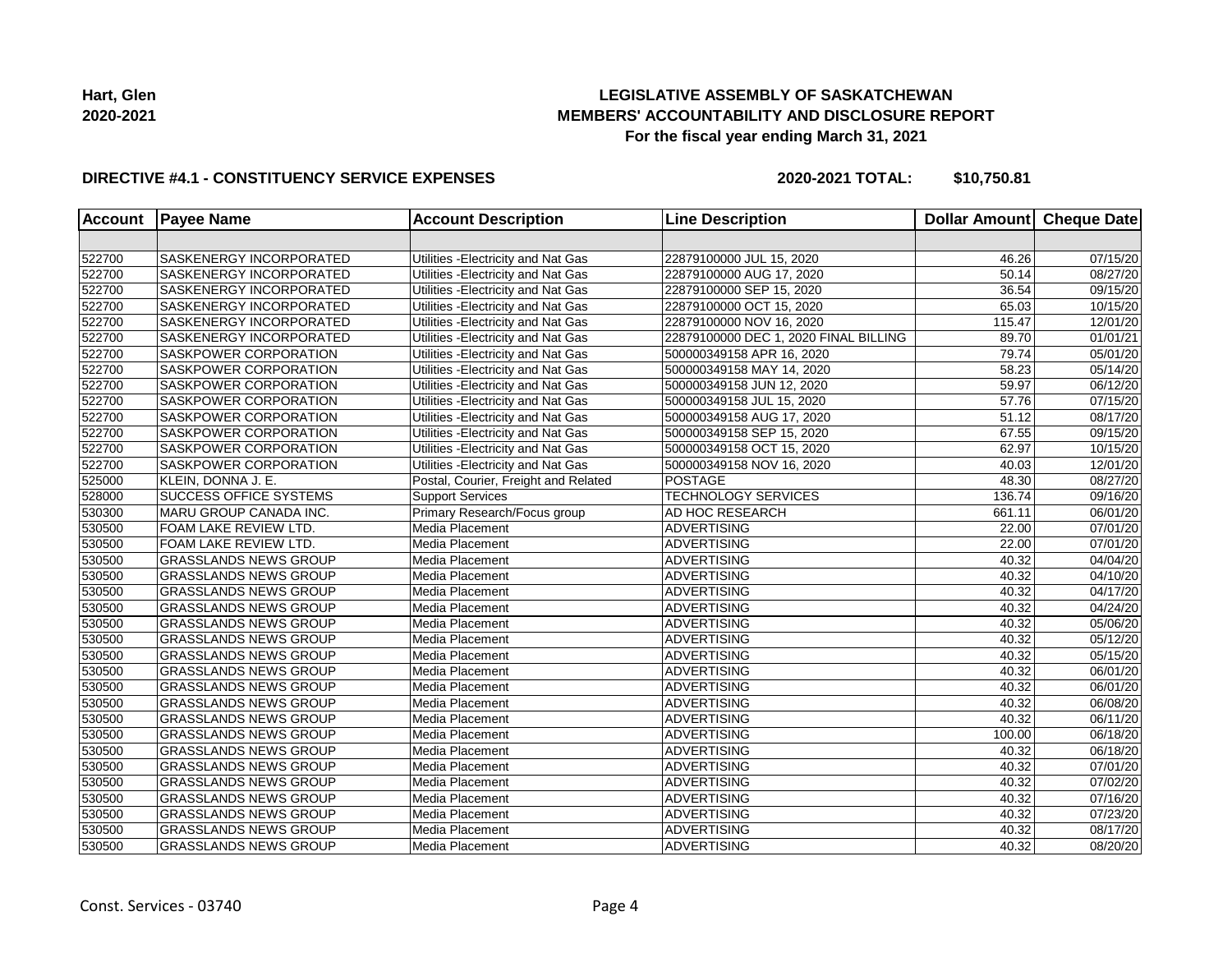

### **DIRECTIVE #4.1 - CONSTITUENCY SERVICE EXPENSES**

**2020-2021 TOTAL: \$10,750.81**

| <b>Account</b> | <b>Payee Name</b>              | <b>Account Description</b>           | <b>Line Description</b>               | <b>Dollar Amount</b> | Cheque Date |
|----------------|--------------------------------|--------------------------------------|---------------------------------------|----------------------|-------------|
|                |                                |                                      |                                       |                      |             |
| 522700         | SASKENERGY INCORPORATED        | Utilities - Electricity and Nat Gas  | 22879100000 JUL 15, 2020              | 46.26                | 07/15/20    |
| 522700         | <b>SASKENERGY INCORPORATED</b> | Utilities - Electricity and Nat Gas  | 22879100000 AUG 17, 2020              | 50.14                | 08/27/20    |
| 522700         | <b>SASKENERGY INCORPORATED</b> | Utilities - Electricity and Nat Gas  | 22879100000 SEP 15, 2020              | 36.54                | 09/15/20    |
| 522700         | <b>SASKENERGY INCORPORATED</b> | Utilities - Electricity and Nat Gas  | 22879100000 OCT 15, 2020              | 65.03                | 10/15/20    |
| 522700         | <b>SASKENERGY INCORPORATED</b> | Utilities - Electricity and Nat Gas  | 22879100000 NOV 16, 2020              | 115.47               | 12/01/20    |
| 522700         | <b>SASKENERGY INCORPORATED</b> | Utilities - Electricity and Nat Gas  | 22879100000 DEC 1, 2020 FINAL BILLING | 89.70                | 01/01/21    |
| 522700         | SASKPOWER CORPORATION          | Utilities - Electricity and Nat Gas  | 500000349158 APR 16, 2020             | 79.74                | 05/01/20    |
| 522700         | <b>SASKPOWER CORPORATION</b>   | Utilities - Electricity and Nat Gas  | 500000349158 MAY 14, 2020             | 58.23                | 05/14/20    |
| 522700         | SASKPOWER CORPORATION          | Utilities - Electricity and Nat Gas  | 500000349158 JUN 12, 2020             | 59.97                | 06/12/20    |
| 522700         | <b>SASKPOWER CORPORATION</b>   | Utilities - Electricity and Nat Gas  | 500000349158 JUL 15, 2020             | 57.76                | 07/15/20    |
| 522700         | <b>SASKPOWER CORPORATION</b>   | Utilities - Electricity and Nat Gas  | 500000349158 AUG 17, 2020             | 51.12                | 08/17/20    |
| 522700         | <b>SASKPOWER CORPORATION</b>   | Utilities - Electricity and Nat Gas  | 500000349158 SEP 15, 2020             | 67.55                | 09/15/20    |
| 522700         | SASKPOWER CORPORATION          | Utilities - Electricity and Nat Gas  | 500000349158 OCT 15, 2020             | 62.97                | 10/15/20    |
| 522700         | SASKPOWER CORPORATION          | Utilities - Electricity and Nat Gas  | 500000349158 NOV 16, 2020             | 40.03                | 12/01/20    |
| 525000         | KLEIN, DONNA J. E.             | Postal, Courier, Freight and Related | <b>POSTAGE</b>                        | 48.30                | 08/27/20    |
| 528000         | <b>SUCCESS OFFICE SYSTEMS</b>  | <b>Support Services</b>              | <b>TECHNOLOGY SERVICES</b>            | 136.74               | 09/16/20    |
| 530300         | MARU GROUP CANADA INC.         | Primary Research/Focus group         | AD HOC RESEARCH                       | 661.11               | 06/01/20    |
| 530500         | FOAM LAKE REVIEW LTD.          | Media Placement                      | <b>ADVERTISING</b>                    | 22.00                | 07/01/20    |
| 530500         | FOAM LAKE REVIEW LTD.          | Media Placement                      | <b>ADVERTISING</b>                    | 22.00                | 07/01/20    |
| 530500         | <b>GRASSLANDS NEWS GROUP</b>   | Media Placement                      | <b>ADVERTISING</b>                    | 40.32                | 04/04/20    |
| 530500         | <b>GRASSLANDS NEWS GROUP</b>   | Media Placement                      | <b>ADVERTISING</b>                    | 40.32                | 04/10/20    |
| 530500         | <b>GRASSLANDS NEWS GROUP</b>   | Media Placement                      | <b>ADVERTISING</b>                    | 40.32                | 04/17/20    |
| 530500         | <b>GRASSLANDS NEWS GROUP</b>   | Media Placement                      | <b>ADVERTISING</b>                    | 40.32                | 04/24/20    |
| 530500         | <b>GRASSLANDS NEWS GROUP</b>   | Media Placement                      | <b>ADVERTISING</b>                    | 40.32                | 05/06/20    |
| 530500         | <b>GRASSLANDS NEWS GROUP</b>   | Media Placement                      | <b>ADVERTISING</b>                    | 40.32                | 05/12/20    |
| 530500         | <b>GRASSLANDS NEWS GROUP</b>   | Media Placement                      | <b>ADVERTISING</b>                    | 40.32                | 05/15/20    |
| 530500         | <b>GRASSLANDS NEWS GROUP</b>   | Media Placement                      | <b>ADVERTISING</b>                    | 40.32                | 06/01/20    |
| 530500         | <b>GRASSLANDS NEWS GROUP</b>   | Media Placement                      | <b>ADVERTISING</b>                    | 40.32                | 06/01/20    |
| 530500         | <b>GRASSLANDS NEWS GROUP</b>   | Media Placement                      | <b>ADVERTISING</b>                    | 40.32                | 06/08/20    |
| 530500         | <b>GRASSLANDS NEWS GROUP</b>   | Media Placement                      | <b>ADVERTISING</b>                    | 40.32                | 06/11/20    |
| 530500         | <b>GRASSLANDS NEWS GROUP</b>   | Media Placement                      | <b>ADVERTISING</b>                    | 100.00               | 06/18/20    |
| 530500         | <b>GRASSLANDS NEWS GROUP</b>   | Media Placement                      | <b>ADVERTISING</b>                    | 40.32                | 06/18/20    |
| 530500         | <b>GRASSLANDS NEWS GROUP</b>   | Media Placement                      | <b>ADVERTISING</b>                    | 40.32                | 07/01/20    |
| 530500         | <b>GRASSLANDS NEWS GROUP</b>   | Media Placement                      | <b>ADVERTISING</b>                    | 40.32                | 07/02/20    |
| 530500         | <b>GRASSLANDS NEWS GROUP</b>   | Media Placement                      | <b>ADVERTISING</b>                    | 40.32                | 07/16/20    |
| 530500         | <b>GRASSLANDS NEWS GROUP</b>   | Media Placement                      | <b>ADVERTISING</b>                    | 40.32                | 07/23/20    |
| 530500         | <b>GRASSLANDS NEWS GROUP</b>   | Media Placement                      | <b>ADVERTISING</b>                    | 40.32                | 08/17/20    |
| 530500         | <b>GRASSLANDS NEWS GROUP</b>   | Media Placement                      | <b>ADVERTISING</b>                    | 40.32                | 08/20/20    |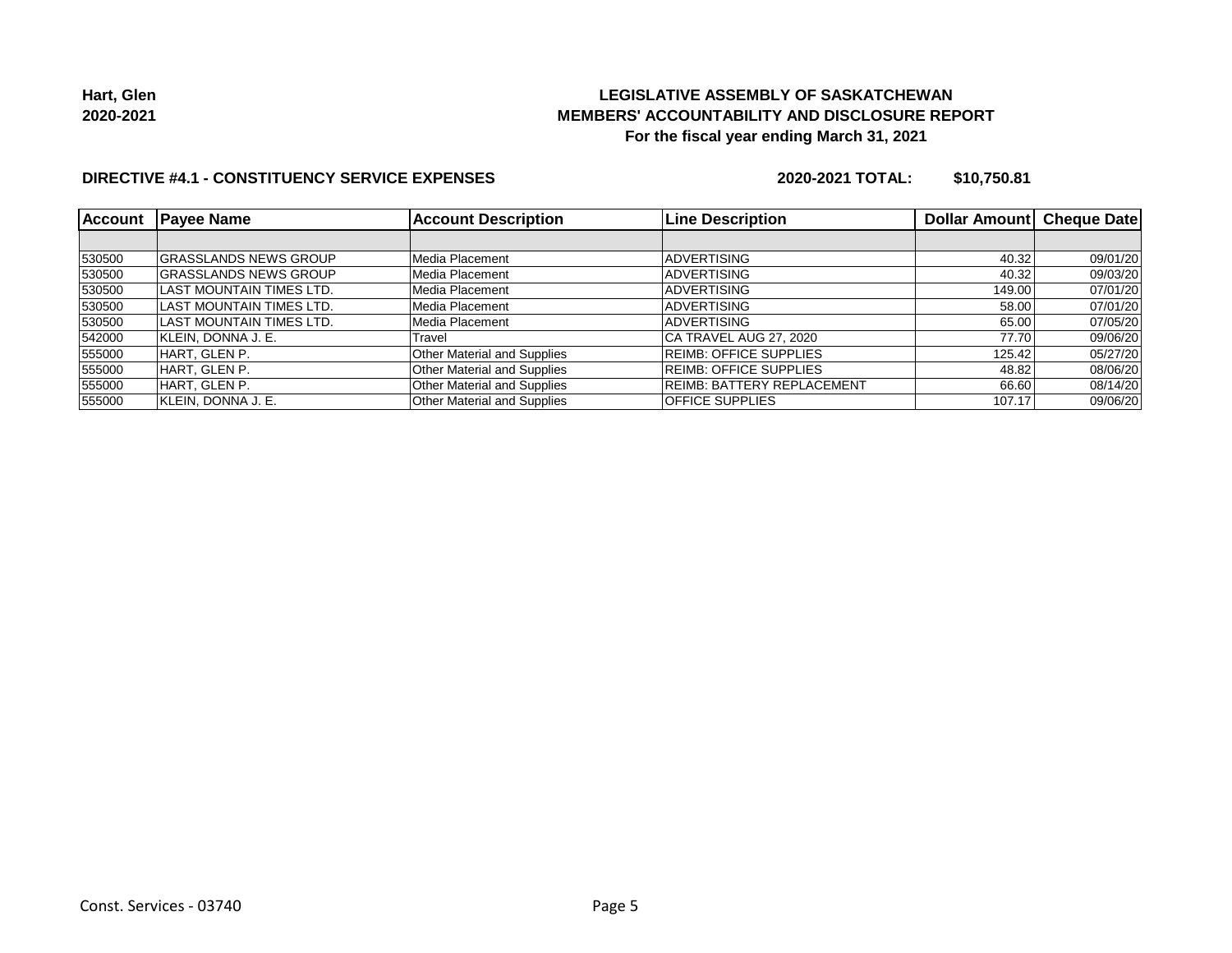

### **DIRECTIVE #4.1 - CONSTITUENCY SERVICE EXPENSES**

**2020-2021 TOTAL: \$10,750.81**

| <b>Account</b> | <b>Payee Name</b>            | <b>Account Description</b>         | <b>Line Description</b>           | Dollar Amount | <b>Cheque Date</b> |
|----------------|------------------------------|------------------------------------|-----------------------------------|---------------|--------------------|
|                |                              |                                    |                                   |               |                    |
| 530500         | <b>GRASSLANDS NEWS GROUP</b> | Media Placement                    | <b>ADVERTISING</b>                | 40.32         | 09/01/20           |
| 530500         | <b>GRASSLANDS NEWS GROUP</b> | Media Placement                    | <b>ADVERTISING</b>                | 40.32         | 09/03/20           |
| 530500         | LAST MOUNTAIN TIMES LTD.     | Media Placement                    | <b>ADVERTISING</b>                | 149.00        | 07/01/20           |
| 530500         | ILAST MOUNTAIN TIMES LTD.    | Media Placement                    | <b>ADVERTISING</b>                | 58.00         | 07/01/20           |
| 530500         | ILAST MOUNTAIN TIMES LTD.    | Media Placement                    | <b>ADVERTISING</b>                | 65.00         | 07/05/20           |
| 542000         | KLEIN, DONNA J. E.           | Travel                             | CA TRAVEL AUG 27, 2020            | 77.70         | 09/06/20           |
| 555000         | HART. GLEN P.                | Other Material and Supplies        | <b>REIMB: OFFICE SUPPLIES</b>     | 125.42        | 05/27/20           |
| 555000         | HART. GLEN P.                | <b>Other Material and Supplies</b> | <b>REIMB: OFFICE SUPPLIES</b>     | 48.82         | 08/06/20           |
| 555000         | HART, GLEN P.                | <b>Other Material and Supplies</b> | <b>REIMB: BATTERY REPLACEMENT</b> | 66.60         | 08/14/20           |
| 555000         | KLEIN, DONNA J. E.           | <b>Other Material and Supplies</b> | <b>IOFFICE SUPPLIES</b>           | 107.17        | 09/06/20           |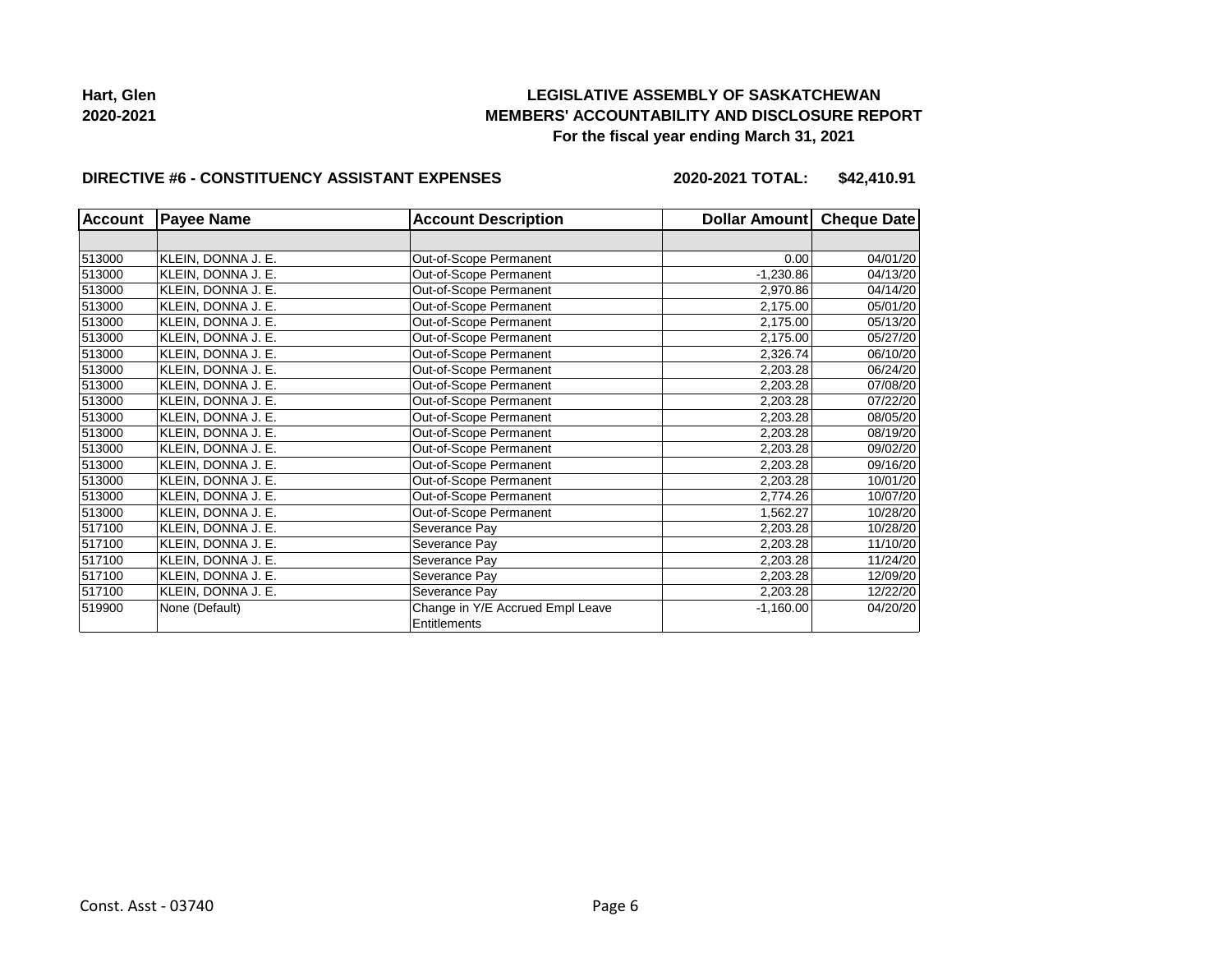

#### **DIRECTIVE #6 - CONSTITUENCY ASSISTANT EXPENSES**

**2020-2021 TOTAL: \$42,410.91**

| <b>Account</b> | <b>Payee Name</b>  | <b>Account Description</b>       | Dollar Amount | <b>Cheque Date</b> |
|----------------|--------------------|----------------------------------|---------------|--------------------|
|                |                    |                                  |               |                    |
| 513000         | KLEIN, DONNA J. E. | Out-of-Scope Permanent           | 0.00          | 04/01/20           |
| 513000         | KLEIN, DONNA J. E. | Out-of-Scope Permanent           | $-1,230.86$   | 04/13/20           |
| 513000         | KLEIN, DONNA J. E. | Out-of-Scope Permanent           | 2,970.86      | 04/14/20           |
| 513000         | KLEIN, DONNA J. E. | Out-of-Scope Permanent           | 2,175.00      | 05/01/20           |
| 513000         | KLEIN, DONNA J. E. | Out-of-Scope Permanent           | 2,175.00      | 05/13/20           |
| 513000         | KLEIN, DONNA J. E. | Out-of-Scope Permanent           | 2,175.00      | 05/27/20           |
| 513000         | KLEIN, DONNA J. E. | Out-of-Scope Permanent           | 2,326.74      | 06/10/20           |
| 513000         | KLEIN, DONNA J. E. | Out-of-Scope Permanent           | 2,203.28      | 06/24/20           |
| 513000         | KLEIN, DONNA J. E. | Out-of-Scope Permanent           | 2,203.28      | 07/08/20           |
| 513000         | KLEIN, DONNA J. E. | Out-of-Scope Permanent           | 2,203.28      | 07/22/20           |
| 513000         | KLEIN, DONNA J. E. | Out-of-Scope Permanent           | 2,203.28      | 08/05/20           |
| 513000         | KLEIN. DONNA J. E. | Out-of-Scope Permanent           | 2,203.28      | 08/19/20           |
| 513000         | KLEIN, DONNA J. E. | Out-of-Scope Permanent           | 2,203.28      | 09/02/20           |
| 513000         | KLEIN, DONNA J. E. | Out-of-Scope Permanent           | 2,203.28      | 09/16/20           |
| 513000         | KLEIN, DONNA J. E. | Out-of-Scope Permanent           | 2,203.28      | 10/01/20           |
| 513000         | KLEIN, DONNA J. E. | Out-of-Scope Permanent           | 2,774.26      | 10/07/20           |
| 513000         | KLEIN, DONNA J. E. | Out-of-Scope Permanent           | 1,562.27      | 10/28/20           |
| 517100         | KLEIN, DONNA J. E. | Severance Pay                    | 2,203.28      | 10/28/20           |
| 517100         | KLEIN, DONNA J. E. | Severance Pay                    | 2,203.28      | 11/10/20           |
| 517100         | KLEIN, DONNA J. E. | Severance Pay                    | 2,203.28      | 11/24/20           |
| 517100         | KLEIN, DONNA J. E. | Severance Pay                    | 2,203.28      | 12/09/20           |
| 517100         | KLEIN, DONNA J. E. | Severance Pay                    | 2,203.28      | 12/22/20           |
| 519900         | None (Default)     | Change in Y/E Accrued Empl Leave | $-1,160.00$   | 04/20/20           |
|                |                    | Entitlements                     |               |                    |